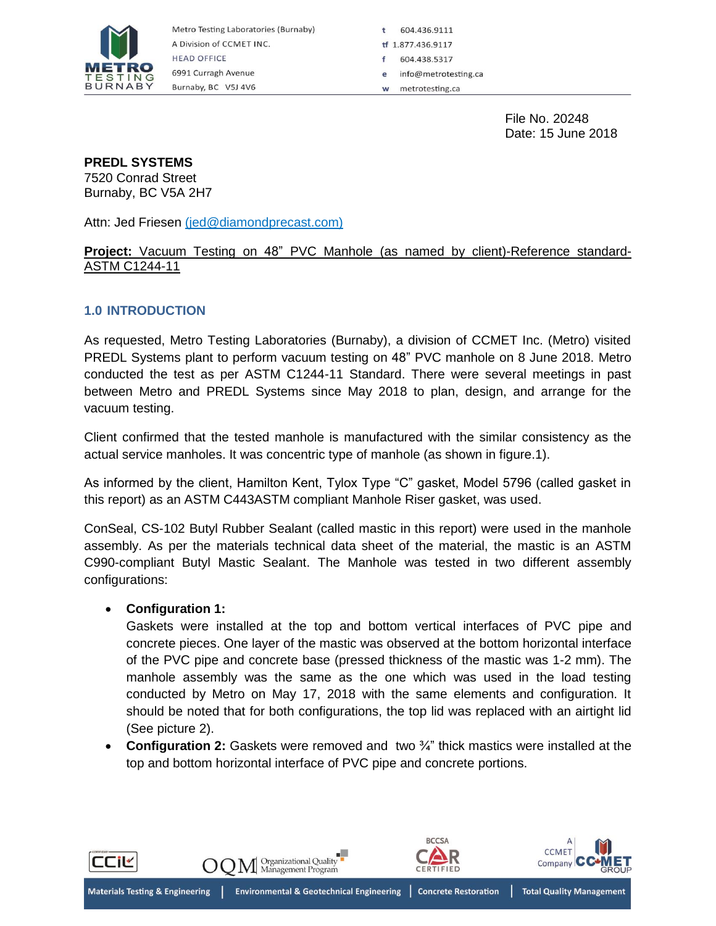

Metro Testing Laboratories (Burnaby) A Division of CCMET INC. **HEAD OFFICE** 6991 Curragh Avenue Burnaby, BC V5J 4V6

604.436.9111 ÷ ff 1.877.436.9117 604.438.5317 info@metrotesting.ca metrotesting.ca W

> File No. 20248 Date: 15 June 2018

#### **PREDL SYSTEMS**

7520 Conrad Street Burnaby, BC V5A 2H7

Attn: Jed Friesen (jed@diamondprecast.com)

#### **Project:** Vacuum Testing on 48" PVC Manhole (as named by client)-Reference standard-ASTM C1244-11

### **1.0 INTRODUCTION**

As requested, Metro Testing Laboratories (Burnaby), a division of CCMET Inc. (Metro) visited PREDL Systems plant to perform vacuum testing on 48" PVC manhole on 8 June 2018. Metro conducted the test as per ASTM C1244-11 Standard. There were several meetings in past between Metro and PREDL Systems since May 2018 to plan, design, and arrange for the vacuum testing.

Client confirmed that the tested manhole is manufactured with the similar consistency as the actual service manholes. It was concentric type of manhole (as shown in figure.1).

As informed by the client, Hamilton Kent, Tylox Type "C" gasket, Model 5796 (called gasket in this report) as an ASTM C443ASTM compliant Manhole Riser gasket, was used.

ConSeal, CS-102 Butyl Rubber Sealant (called mastic in this report) were used in the manhole assembly. As per the materials technical data sheet of the material, the mastic is an ASTM C990-compliant Butyl Mastic Sealant. The Manhole was tested in two different assembly configurations:

#### **Configuration 1:**

Gaskets were installed at the top and bottom vertical interfaces of PVC pipe and concrete pieces. One layer of the mastic was observed at the bottom horizontal interface of the PVC pipe and concrete base (pressed thickness of the mastic was 1-2 mm). The manhole assembly was the same as the one which was used in the load testing conducted by Metro on May 17, 2018 with the same elements and configuration. It should be noted that for both configurations, the top lid was replaced with an airtight lid (See picture 2).

■ **Configuration 2:** Gaskets were removed and two <sup>3</sup>⁄4" thick mastics were installed at the top and bottom horizontal interface of PVC pipe and concrete portions.

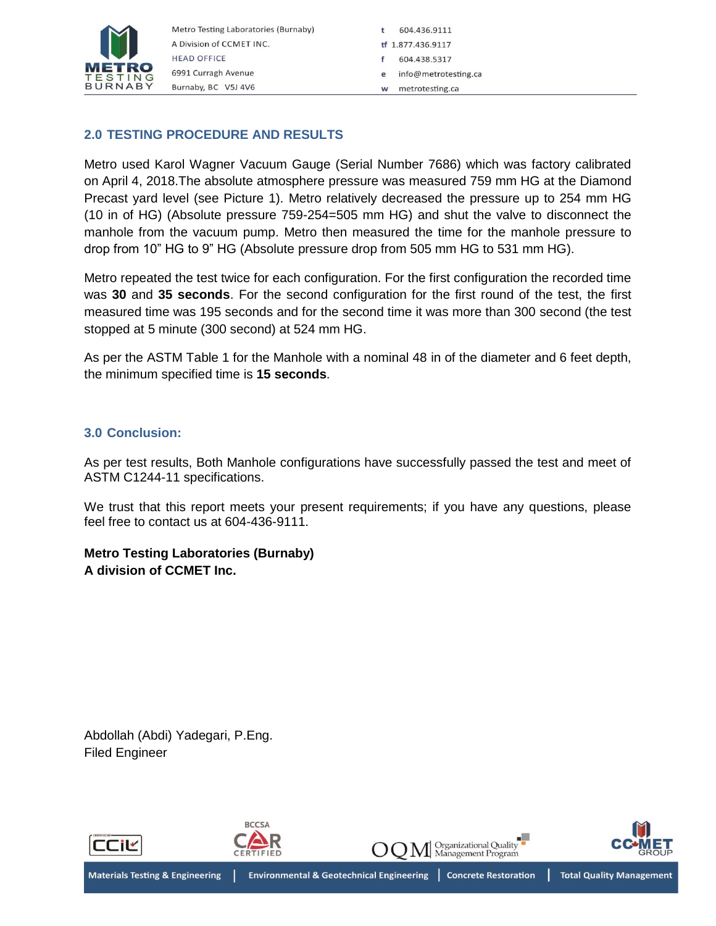

# **2.0 TESTING PROCEDURE AND RESULTS**

Metro used Karol Wagner Vacuum Gauge (Serial Number 7686) which was factory calibrated on April 4, 2018.The absolute atmosphere pressure was measured 759 mm HG at the Diamond Precast yard level (see Picture 1). Metro relatively decreased the pressure up to 254 mm HG (10 in of HG) (Absolute pressure 759-254=505 mm HG) and shut the valve to disconnect the manhole from the vacuum pump. Metro then measured the time for the manhole pressure to drop from 10" HG to 9" HG (Absolute pressure drop from 505 mm HG to 531 mm HG).

Metro repeated the test twice for each configuration. For the first configuration the recorded time was **30** and **35 seconds**. For the second configuration for the first round of the test, the first measured time was 195 seconds and for the second time it was more than 300 second (the test stopped at 5 minute (300 second) at 524 mm HG.

As per the ASTM Table 1 for the Manhole with a nominal 48 in of the diameter and 6 feet depth, the minimum specified time is **15 seconds**.

## **3.0 Conclusion:**

As per test results, Both Manhole configurations have successfully passed the test and meet of ASTM C1244-11 specifications.

We trust that this report meets your present requirements; if you have any questions, please feel free to contact us at 604-436-9111.

## **Metro Testing Laboratories (Burnaby) A division of CCMET Inc.**

Abdollah (Abdi) Yadegari, P.Eng. Filed Engineer

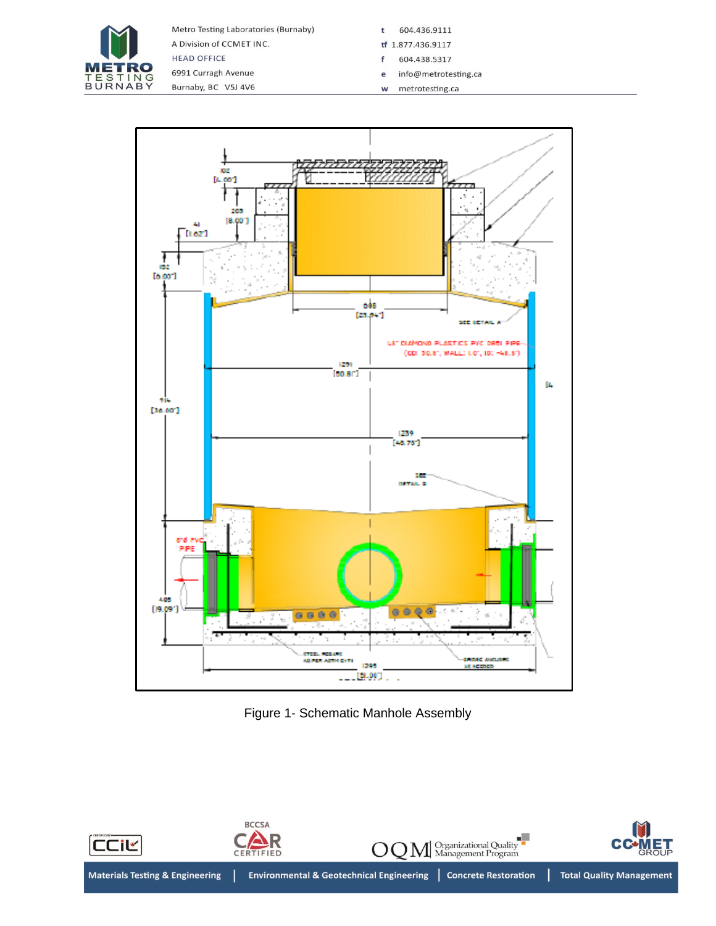

Metro Testing Laboratories (Burnaby) A Division of CCMET INC. **HEAD OFFICE** 6991 Curragh Avenue

Burnaby, BC V5J 4V6

- t 604.436.9111
- tf 1.877.436.9117
- 604.438.5317  $\mathsf f$ e info@metrotesting.ca
- metrotesting.ca  $\mathbf{w}$



Figure 1- Schematic Manhole Assembly

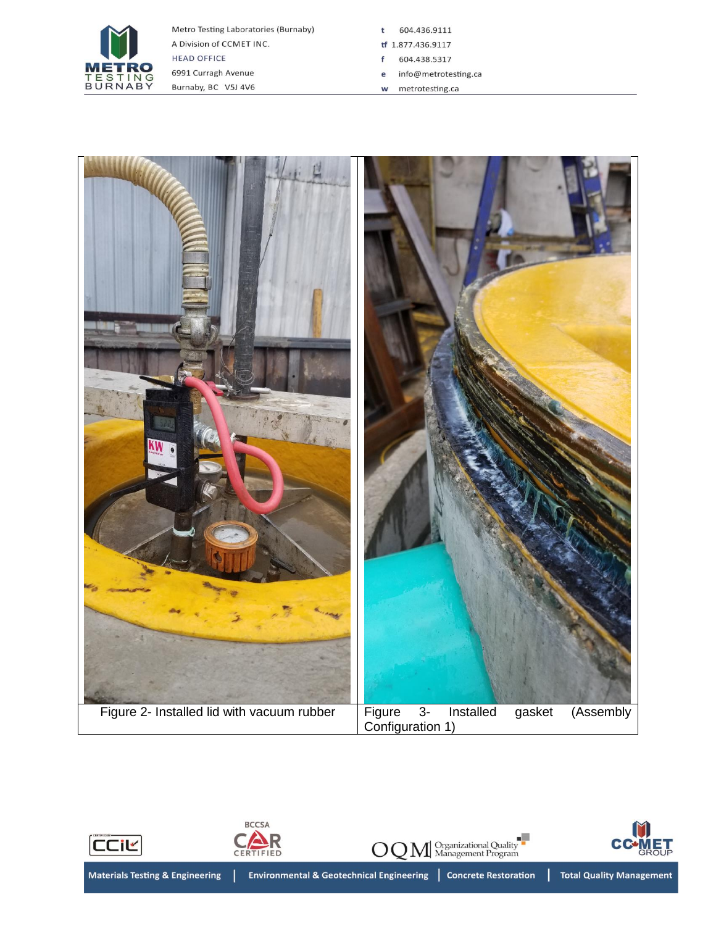

Metro Testing Laboratories (Burnaby) A Division of CCMET INC. **HEAD OFFICE** 6991 Curragh Avenue Burnaby, BC V5J 4V6

t 604.436.9111

- tf 1.877.436.9117
- 604.438.5317  $f$
- e info@metrotesting.ca
- w metrotesting.ca